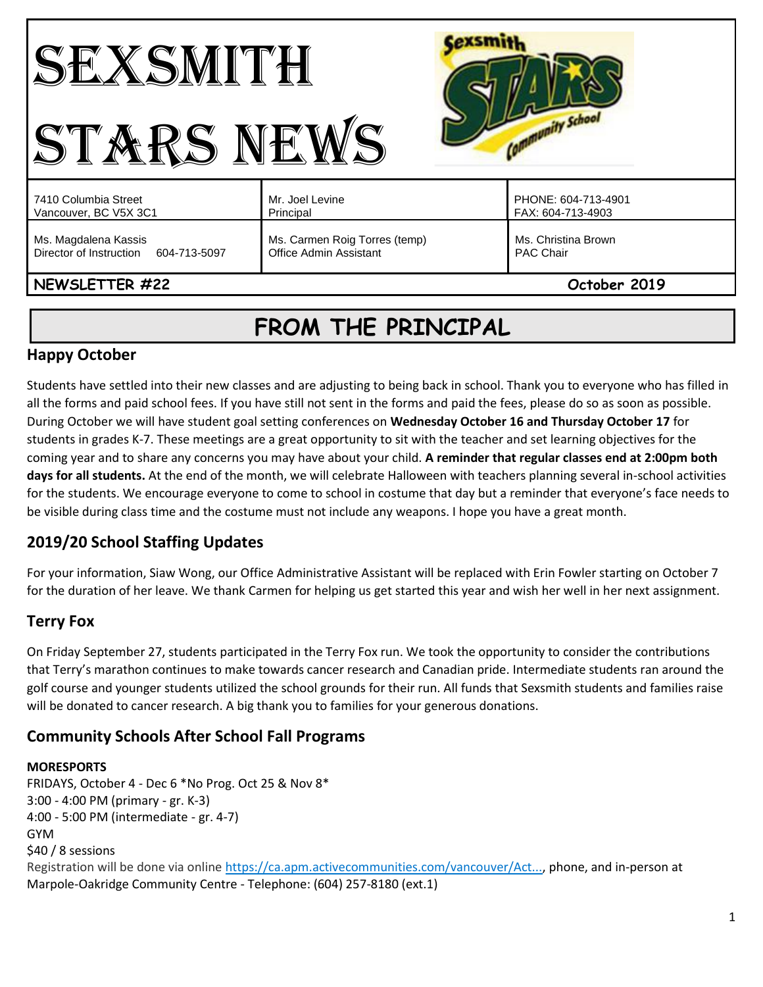#### **Cexsmith** SEXSMITH Community School STARS NEWS PHONE: 604-713-4901 7410 Columbia Street Mr. Joel Levine Vancouver, BC V5X 3C1 Principal FAX: 604-713-4903 Ms. Magdalena Kassis Ms. Carmen Roig Torres (temp) Ms. Christina Brown Director of Instruction 604-713-5097 Office Admin Assistant PAC Chair **NEWSLETTER #22 October 2019**

# **FROM THE PRINCIPAL**

## **Happy October**

Students have settled into their new classes and are adjusting to being back in school. Thank you to everyone who has filled in all the forms and paid school fees. If you have still not sent in the forms and paid the fees, please do so as soon as possible. During October we will have student goal setting conferences on **Wednesday October 16 and Thursday October 17** for students in grades K-7. These meetings are a great opportunity to sit with the teacher and set learning objectives for the coming year and to share any concerns you may have about your child. **A reminder that regular classes end at 2:00pm both days for all students.** At the end of the month, we will celebrate Halloween with teachers planning several in-school activities for the students. We encourage everyone to come to school in costume that day but a reminder that everyone's face needs to be visible during class time and the costume must not include any weapons. I hope you have a great month.

# **2019/20 School Staffing Updates**

For your information, Siaw Wong, our Office Administrative Assistant will be replaced with Erin Fowler starting on October 7 for the duration of her leave. We thank Carmen for helping us get started this year and wish her well in her next assignment.

### **Terry Fox**

On Friday September 27, students participated in the Terry Fox run. We took the opportunity to consider the contributions that Terry's marathon continues to make towards cancer research and Canadian pride. Intermediate students ran around the golf course and younger students utilized the school grounds for their run. All funds that Sexsmith students and families raise will be donated to cancer research. A big thank you to families for your generous donations.

# **Community Schools After School Fall Programs**

### **MORESPORTS**

FRIDAYS, October 4 - Dec 6 \*No Prog. Oct 25 & Nov 8\* 3:00 - 4:00 PM (primary - gr. K-3) 4:00 - 5:00 PM (intermediate - gr. 4-7) GYM \$40 / 8 sessions Registration will be done via online [https://ca.apm.activecommunities.com/vancouver/Act...,](https://ca.apm.activecommunities.com/vancouver/Activity_Search) phone, and in-person at Marpole-Oakridge Community Centre - Telephone: (604) 257-8180 (ext.1)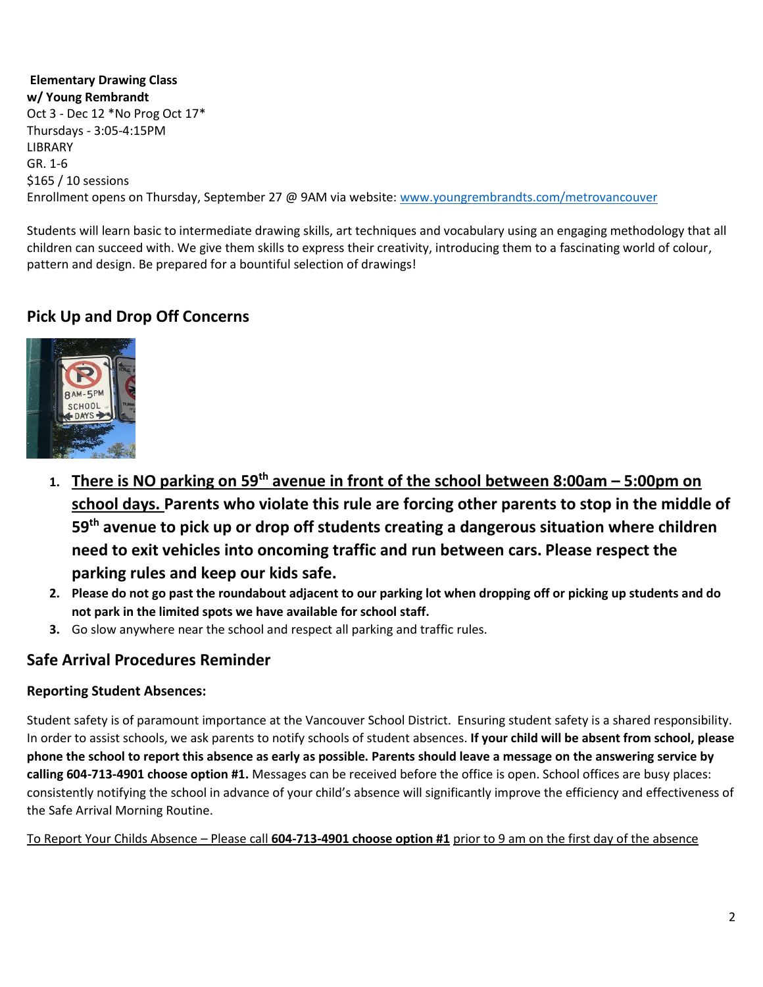**Elementary Drawing Class w/ Young Rembrandt** Oct 3 - Dec 12 \*No Prog Oct 17\* Thursdays - 3:05-4:15PM LIBRARY GR. 1-6 \$165 / 10 sessions Enrollment opens on Thursday, September 27 @ 9AM via website: [www.youngrembrandts.com/metrovancouver](http://www.youngrembrandts.com/metrovancouver)

Students will learn basic to intermediate drawing skills, art techniques and vocabulary using an engaging methodology that all children can succeed with. We give them skills to express their creativity, introducing them to a fascinating world of colour, pattern and design. Be prepared for a bountiful selection of drawings!

# **Pick Up and Drop Off Concerns**



- **1. There is NO parking on 59th avenue in front of the school between 8:00am – 5:00pm on school days. Parents who violate this rule are forcing other parents to stop in the middle of 59th avenue to pick up or drop off students creating a dangerous situation where children need to exit vehicles into oncoming traffic and run between cars. Please respect the parking rules and keep our kids safe.**
- **2. Please do not go past the roundabout adjacent to our parking lot when dropping off or picking up students and do not park in the limited spots we have available for school staff.**
- **3.** Go slow anywhere near the school and respect all parking and traffic rules.

### **Safe Arrival Procedures Reminder**

#### **Reporting Student Absences:**

Student safety is of paramount importance at the Vancouver School District. Ensuring student safety is a shared responsibility. In order to assist schools, we ask parents to notify schools of student absences. **If your child will be absent from school, please phone the school to report this absence as early as possible. Parents should leave a message on the answering service by calling 604-713-4901 choose option #1.** Messages can be received before the office is open. School offices are busy places: consistently notifying the school in advance of your child's absence will significantly improve the efficiency and effectiveness of the Safe Arrival Morning Routine.

To Report Your Childs Absence – Please call **604-713-4901 choose option #1** prior to 9 am on the first day of the absence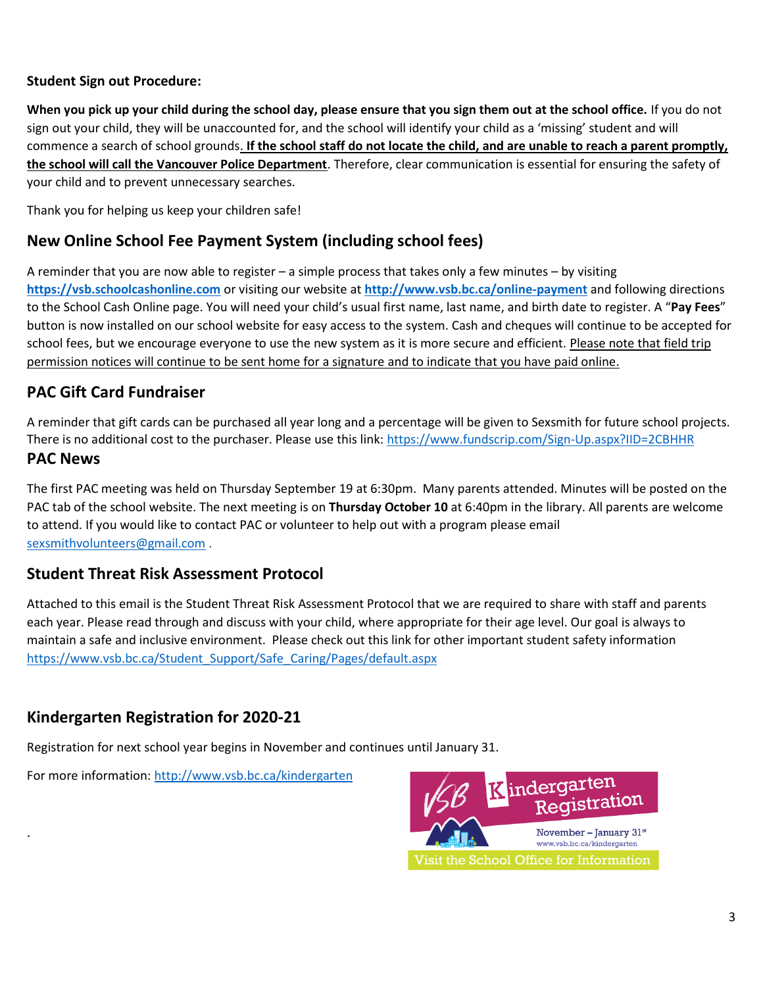#### **Student Sign out Procedure:**

**When you pick up your child during the school day, please ensure that you sign them out at the school office.** If you do not sign out your child, they will be unaccounted for, and the school will identify your child as a 'missing' student and will commence a search of school grounds. **If the school staff do not locate the child, and are unable to reach a parent promptly, the school will call the Vancouver Police Department**. Therefore, clear communication is essential for ensuring the safety of your child and to prevent unnecessary searches.

Thank you for helping us keep your children safe!

# **New Online School Fee Payment System (including school fees)**

A reminder that you are now able to register – a simple process that takes only a few minutes – by visiting **[https://vsb.schoolcashonline.com](https://vsb.schoolcashonline.com/)** or visiting our website at **<http://www.vsb.bc.ca/online-payment>** and following directions to the School Cash Online page. You will need your child's usual first name, last name, and birth date to register. A "**Pay Fees**" button is now installed on our school website for easy access to the system. Cash and cheques will continue to be accepted for school fees, but we encourage everyone to use the new system as it is more secure and efficient. Please note that field trip permission notices will continue to be sent home for a signature and to indicate that you have paid online.

# **PAC Gift Card Fundraiser**

A reminder that gift cards can be purchased all year long and a percentage will be given to Sexsmith for future school projects. There is no additional cost to the purchaser. Please use this link: <https://www.fundscrip.com/Sign-Up.aspx?IID=2CBHHR>

### **PAC News**

.

The first PAC meeting was held on Thursday September 19 at 6:30pm. Many parents attended. Minutes will be posted on the PAC tab of the school website. The next meeting is on **Thursday October 10** at 6:40pm in the library. All parents are welcome to attend. If you would like to contact PAC or volunteer to help out with a program please email [sexsmithvolunteers@gmail.com](mailto:sexsmithvolunteers@gmail.com) .

### **Student Threat Risk Assessment Protocol**

Attached to this email is the Student Threat Risk Assessment Protocol that we are required to share with staff and parents each year. Please read through and discuss with your child, where appropriate for their age level. Our goal is always to maintain a safe and inclusive environment. Please check out this link for other important student safety information [https://www.vsb.bc.ca/Student\\_Support/Safe\\_Caring/Pages/default.aspx](https://www.vsb.bc.ca/Student_Support/Safe_Caring/Pages/default.aspx)

# **Kindergarten Registration for 2020-21**

Registration for next school year begins in November and continues until January 31.

For more information[: http://www.vsb.bc.ca/kindergarten](http://www.vsb.bc.ca/kindergarten)